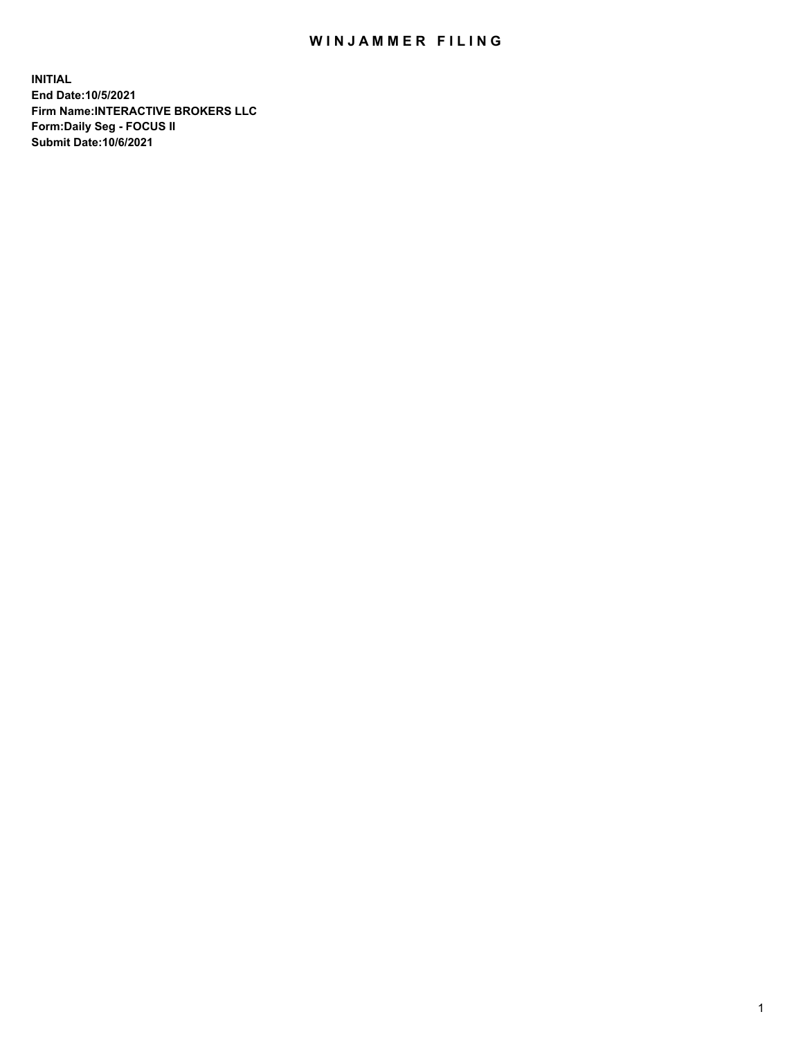## WIN JAMMER FILING

**INITIAL End Date:10/5/2021 Firm Name:INTERACTIVE BROKERS LLC Form:Daily Seg - FOCUS II Submit Date:10/6/2021**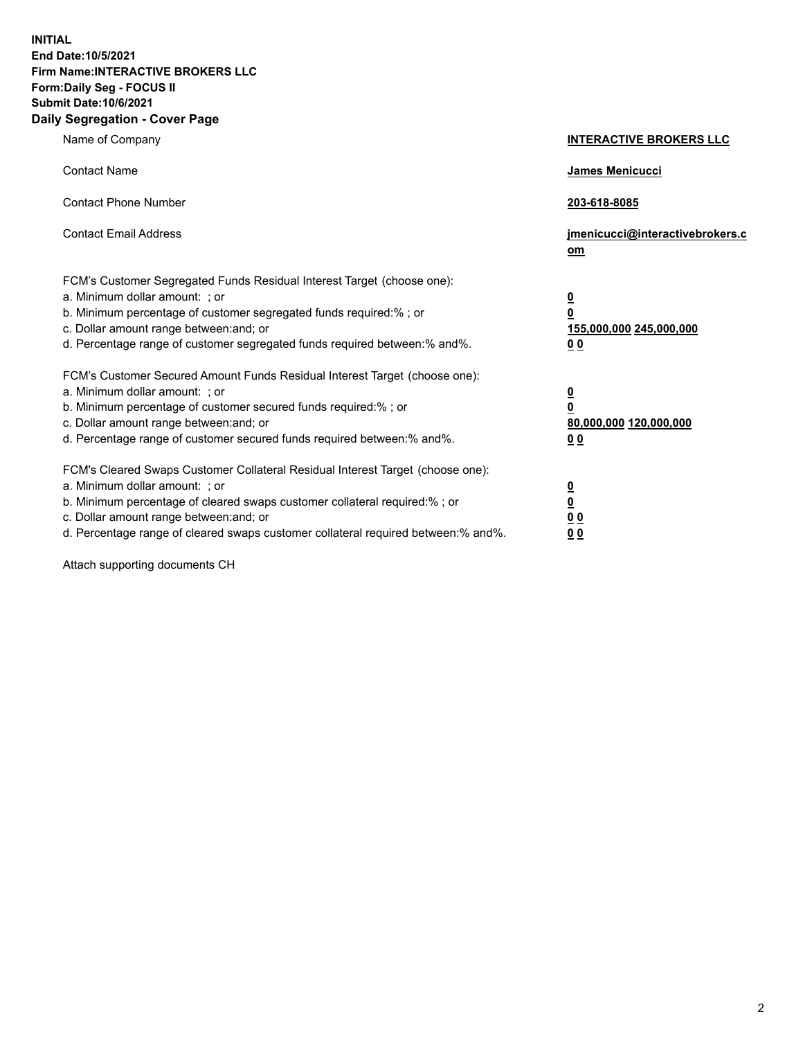**INITIAL End Date:10/5/2021 Firm Name:INTERACTIVE BROKERS LLC Form:Daily Seg - FOCUS II Submit Date:10/6/2021 Daily Segregation - Cover Page**

| Name of Company                                                                                                                                                                                                                                                                                                               | <b>INTERACTIVE BROKERS LLC</b>                                                            |  |
|-------------------------------------------------------------------------------------------------------------------------------------------------------------------------------------------------------------------------------------------------------------------------------------------------------------------------------|-------------------------------------------------------------------------------------------|--|
| <b>Contact Name</b>                                                                                                                                                                                                                                                                                                           | James Menicucci                                                                           |  |
| <b>Contact Phone Number</b>                                                                                                                                                                                                                                                                                                   | 203-618-8085                                                                              |  |
| <b>Contact Email Address</b>                                                                                                                                                                                                                                                                                                  | jmenicucci@interactivebrokers.c<br><u>om</u>                                              |  |
| FCM's Customer Segregated Funds Residual Interest Target (choose one):<br>a. Minimum dollar amount: ; or<br>b. Minimum percentage of customer segregated funds required:% ; or<br>c. Dollar amount range between: and; or<br>d. Percentage range of customer segregated funds required between: % and %.                      | $\overline{\mathbf{0}}$<br>0<br>155,000,000 245,000,000<br>0 <sub>0</sub>                 |  |
| FCM's Customer Secured Amount Funds Residual Interest Target (choose one):<br>a. Minimum dollar amount: ; or<br>b. Minimum percentage of customer secured funds required:%; or<br>c. Dollar amount range between: and; or<br>d. Percentage range of customer secured funds required between:% and%.                           | <u>0</u><br>$\overline{\mathbf{0}}$<br>80,000,000 120,000,000<br>00                       |  |
| FCM's Cleared Swaps Customer Collateral Residual Interest Target (choose one):<br>a. Minimum dollar amount: ; or<br>b. Minimum percentage of cleared swaps customer collateral required:%; or<br>c. Dollar amount range between: and; or<br>d. Percentage range of cleared swaps customer collateral required between:% and%. | <u>0</u><br>$\underline{\mathbf{0}}$<br>$\underline{0}$ $\underline{0}$<br>0 <sub>0</sub> |  |

Attach supporting documents CH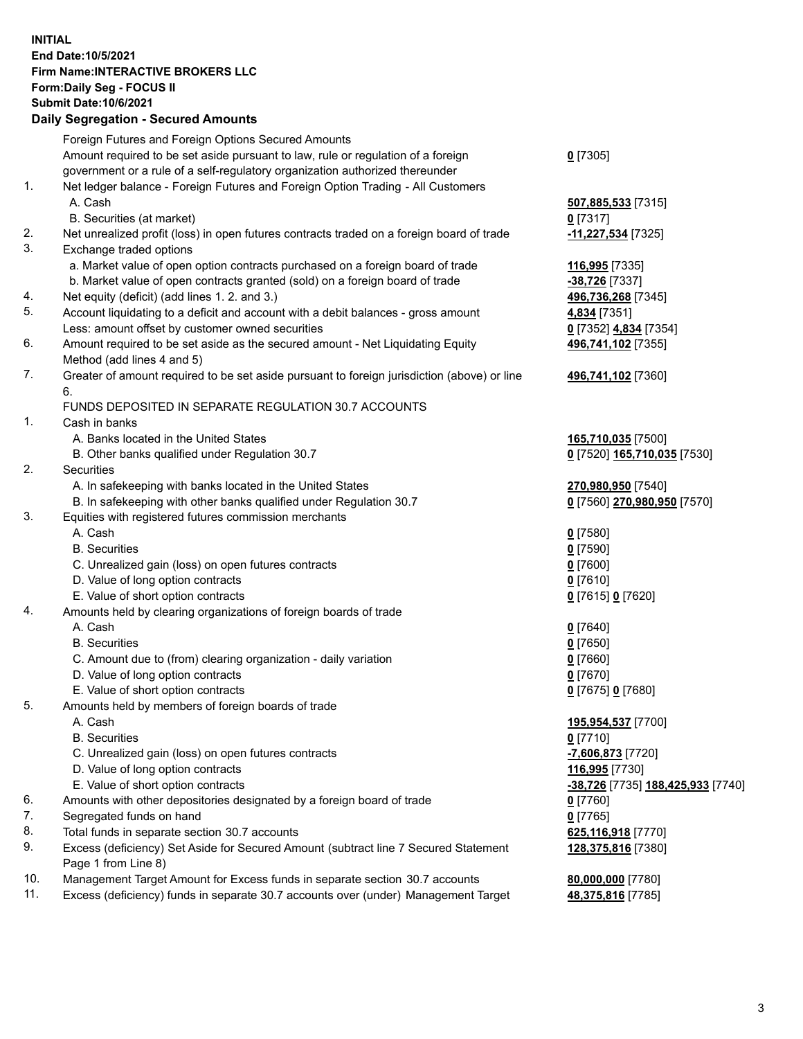**INITIAL End Date:10/5/2021 Firm Name:INTERACTIVE BROKERS LLC Form:Daily Seg - FOCUS II Submit Date:10/6/2021 Daily Segregation - Secured Amounts**

## Foreign Futures and Foreign Options Secured Amounts Amount required to be set aside pursuant to law, rule or regulation of a foreign government or a rule of a self-regulatory organization authorized thereunder **0** [7305] 1. Net ledger balance - Foreign Futures and Foreign Option Trading - All Customers A. Cash **507,885,533** [7315] B. Securities (at market) **0** [7317] 2. Net unrealized profit (loss) in open futures contracts traded on a foreign board of trade **-11,227,534** [7325] 3. Exchange traded options a. Market value of open option contracts purchased on a foreign board of trade **116,995** [7335] b. Market value of open contracts granted (sold) on a foreign board of trade **-38,726** [7337] 4. Net equity (deficit) (add lines 1. 2. and 3.) **496,736,268** [7345] 5. Account liquidating to a deficit and account with a debit balances - gross amount **4,834** [7351] Less: amount offset by customer owned securities **0** [7352] **4,834** [7354] 6. Amount required to be set aside as the secured amount - Net Liquidating Equity Method (add lines 4 and 5) **496,741,102** [7355] 7. Greater of amount required to be set aside pursuant to foreign jurisdiction (above) or line 6. **496,741,102** [7360] FUNDS DEPOSITED IN SEPARATE REGULATION 30.7 ACCOUNTS 1. Cash in banks A. Banks located in the United States **165,710,035** [7500] B. Other banks qualified under Regulation 30.7 **0** [7520] **165,710,035** [7530] 2. Securities A. In safekeeping with banks located in the United States **270,980,950** [7540] B. In safekeeping with other banks qualified under Regulation 30.7 **0** [7560] **270,980,950** [7570] 3. Equities with registered futures commission merchants A. Cash **0** [7580] B. Securities **0** [7590] C. Unrealized gain (loss) on open futures contracts **0** [7600] D. Value of long option contracts **0** [7610] E. Value of short option contracts **0** [7615] **0** [7620] 4. Amounts held by clearing organizations of foreign boards of trade A. Cash **0** [7640] B. Securities **0** [7650] C. Amount due to (from) clearing organization - daily variation **0** [7660] D. Value of long option contracts **0** [7670] E. Value of short option contracts **0** [7675] **0** [7680] 5. Amounts held by members of foreign boards of trade A. Cash **195,954,537** [7700] B. Securities **0** [7710] C. Unrealized gain (loss) on open futures contracts **-7,606,873** [7720] D. Value of long option contracts **116,995** [7730] E. Value of short option contracts **-38,726** [7735] **188,425,933** [7740] 6. Amounts with other depositories designated by a foreign board of trade **0** [7760] 7. Segregated funds on hand **0** [7765] 8. Total funds in separate section 30.7 accounts **625,116,918** [7770] 9. Excess (deficiency) Set Aside for Secured Amount (subtract line 7 Secured Statement Page 1 from Line 8) **128,375,816** [7380] 10. Management Target Amount for Excess funds in separate section 30.7 accounts **80,000,000** [7780] 11. Excess (deficiency) funds in separate 30.7 accounts over (under) Management Target **48,375,816** [7785]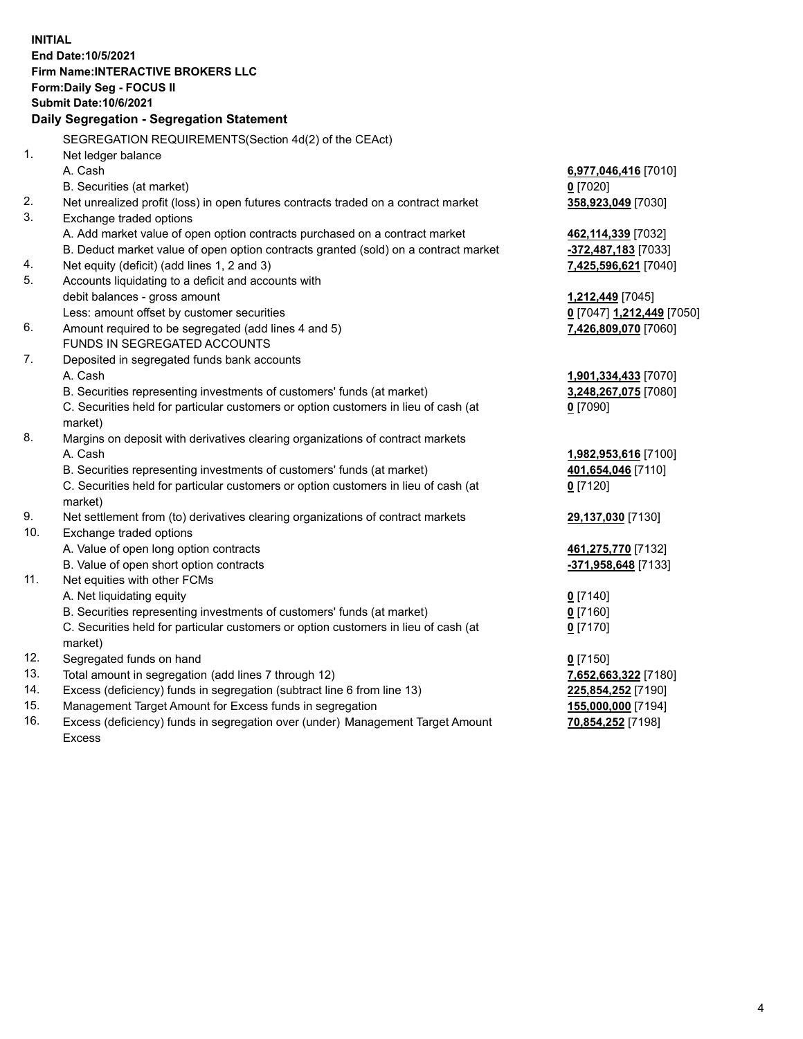**INITIAL End Date:10/5/2021 Firm Name:INTERACTIVE BROKERS LLC Form:Daily Seg - FOCUS II Submit Date:10/6/2021 Daily Segregation - Segregation Statement** SEGREGATION REQUIREMENTS(Section 4d(2) of the CEAct) 1. Net ledger balance A. Cash **6,977,046,416** [7010] B. Securities (at market) **0** [7020] 2. Net unrealized profit (loss) in open futures contracts traded on a contract market **358,923,049** [7030] 3. Exchange traded options A. Add market value of open option contracts purchased on a contract market **462,114,339** [7032] B. Deduct market value of open option contracts granted (sold) on a contract market **-372,487,183** [7033] 4. Net equity (deficit) (add lines 1, 2 and 3) **7,425,596,621** [7040] 5. Accounts liquidating to a deficit and accounts with debit balances - gross amount **1,212,449** [7045] Less: amount offset by customer securities **0** [7047] **1,212,449** [7050] 6. Amount required to be segregated (add lines 4 and 5) **7,426,809,070** [7060] FUNDS IN SEGREGATED ACCOUNTS 7. Deposited in segregated funds bank accounts A. Cash **1,901,334,433** [7070] B. Securities representing investments of customers' funds (at market) **3,248,267,075** [7080] C. Securities held for particular customers or option customers in lieu of cash (at market) **0** [7090] 8. Margins on deposit with derivatives clearing organizations of contract markets A. Cash **1,982,953,616** [7100] B. Securities representing investments of customers' funds (at market) **401,654,046** [7110] C. Securities held for particular customers or option customers in lieu of cash (at market) **0** [7120] 9. Net settlement from (to) derivatives clearing organizations of contract markets **29,137,030** [7130] 10. Exchange traded options A. Value of open long option contracts **461,275,770** [7132] B. Value of open short option contracts **-371,958,648** [7133] 11. Net equities with other FCMs A. Net liquidating equity **0** [7140] B. Securities representing investments of customers' funds (at market) **0** [7160] C. Securities held for particular customers or option customers in lieu of cash (at market) **0** [7170] 12. Segregated funds on hand **0** [7150] 13. Total amount in segregation (add lines 7 through 12) **7,652,663,322** [7180] 14. Excess (deficiency) funds in segregation (subtract line 6 from line 13) **225,854,252** [7190] 15. Management Target Amount for Excess funds in segregation **155,000,000** [7194] **70,854,252** [7198]

16. Excess (deficiency) funds in segregation over (under) Management Target Amount Excess